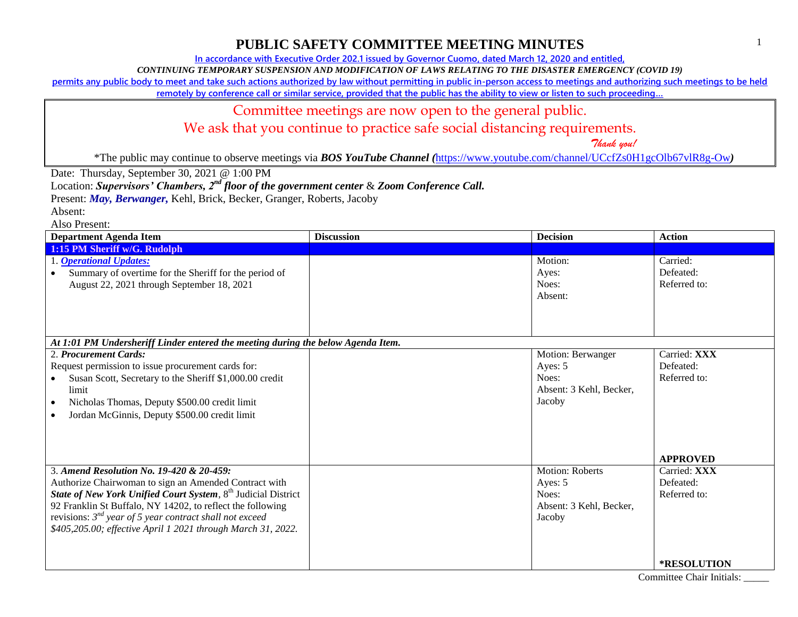**In accordance with Executive Order 202.1 issued by Governor Cuomo, dated March 12, 2020 and entitled,**

*CONTINUING TEMPORARY SUSPENSION AND MODIFICATION OF LAWS RELATING TO THE DISASTER EMERGENCY (COVID 19)*

**permits any public body to meet and take such actions authorized by law without permitting in public in-person access to meetings and authorizing such meetings to be held** 

**remotely by conference call or similar service, provided that the public has the ability to view or listen to such proceeding…**

#### Committee meetings are now open to the general public.

We ask that you continue to practice safe social distancing requirements.

 *Thank you!*

\*The public may continue to observe meetings via *BOS YouTube Channel (*<https://www.youtube.com/channel/UCcfZs0H1gcOlb67vlR8g-Ow>*)*

Date: Thursday, September 30, 2021 @ 1:00 PM

Location: *Supervisors' Chambers, 2nd floor of the government center* & *Zoom Conference Call.*

Present: *May, Berwanger,* Kehl, Brick, Becker, Granger, Roberts, Jacoby

Absent:

| Department Agenda Item                                                                                                                                                                                                                                                                                                                                                       | <b>Discussion</b> | <b>Decision</b>                                                                 | <b>Action</b>                                                |
|------------------------------------------------------------------------------------------------------------------------------------------------------------------------------------------------------------------------------------------------------------------------------------------------------------------------------------------------------------------------------|-------------------|---------------------------------------------------------------------------------|--------------------------------------------------------------|
| 1:15 PM Sheriff w/G. Rudolph                                                                                                                                                                                                                                                                                                                                                 |                   |                                                                                 |                                                              |
| 1. Operational Updates:<br>Summary of overtime for the Sheriff for the period of<br>August 22, 2021 through September 18, 2021                                                                                                                                                                                                                                               |                   | Motion:<br>Ayes:<br>Noes:<br>Absent:                                            | Carried:<br>Defeated:<br>Referred to:                        |
| At 1:01 PM Undersheriff Linder entered the meeting during the below Agenda Item.                                                                                                                                                                                                                                                                                             |                   |                                                                                 |                                                              |
| 2. Procurement Cards:<br>Request permission to issue procurement cards for:<br>Susan Scott, Secretary to the Sheriff \$1,000.00 credit<br>limit<br>Nicholas Thomas, Deputy \$500.00 credit limit<br>$\bullet$<br>Jordan McGinnis, Deputy \$500.00 credit limit                                                                                                               |                   | Motion: Berwanger<br>Ayes: 5<br>Noes:<br>Absent: 3 Kehl, Becker,<br>Jacoby      | Carried: XXX<br>Defeated:<br>Referred to:<br><b>APPROVED</b> |
| 3. Amend Resolution No. 19-420 & 20-459:<br>Authorize Chairwoman to sign an Amended Contract with<br>State of New York Unified Court System, 8 <sup>th</sup> Judicial District<br>92 Franklin St Buffalo, NY 14202, to reflect the following<br>revisions: $3^{nd}$ year of 5 year contract shall not exceed<br>\$405,205.00; effective April 1 2021 through March 31, 2022. |                   | <b>Motion: Roberts</b><br>Ayes: 5<br>Noes:<br>Absent: 3 Kehl, Becker,<br>Jacoby | Carried: XXX<br>Defeated:<br>Referred to:<br>*RESOLUTION     |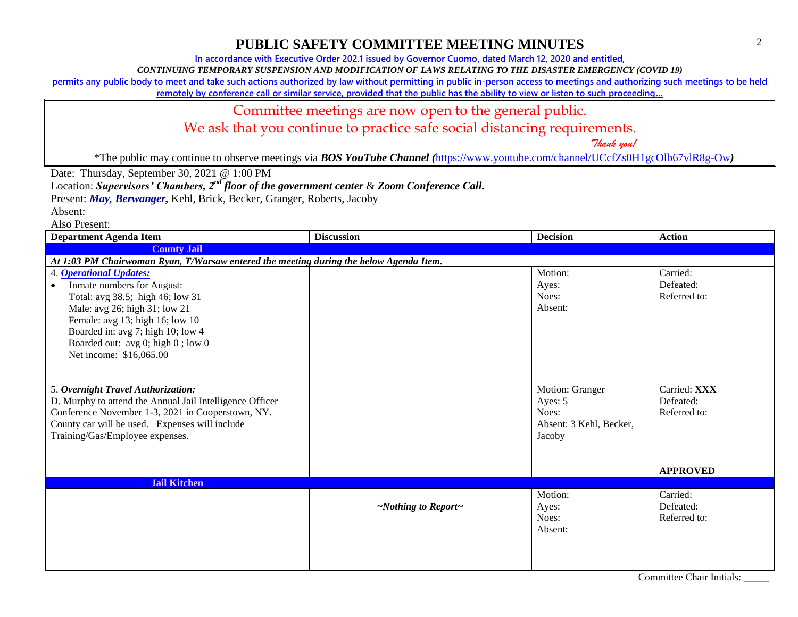**In accordance with Executive Order 202.1 issued by Governor Cuomo, dated March 12, 2020 and entitled,**

*CONTINUING TEMPORARY SUSPENSION AND MODIFICATION OF LAWS RELATING TO THE DISASTER EMERGENCY (COVID 19)*

**permits any public body to meet and take such actions authorized by law without permitting in public in-person access to meetings and authorizing such meetings to be held** 

**remotely by conference call or similar service, provided that the public has the ability to view or listen to such proceeding…**

#### Committee meetings are now open to the general public.

We ask that you continue to practice safe social distancing requirements.

\*The public may continue to observe meetings via *BOS YouTube Channel (*<https://www.youtube.com/channel/UCcfZs0H1gcOlb67vlR8g-Ow>*)*

Date: Thursday, September 30, 2021 @ 1:00 PM

Location: *Supervisors' Chambers, 2nd floor of the government center* & *Zoom Conference Call.*

Present: *May, Berwanger,* Kehl, Brick, Becker, Granger, Roberts, Jacoby

Absent:

Also Present:

| <b>Department Agenda Item</b>                                                          | <b>Discussion</b>               | <b>Decision</b>                   | <b>Action</b>   |
|----------------------------------------------------------------------------------------|---------------------------------|-----------------------------------|-----------------|
| <b>County Jail</b>                                                                     |                                 |                                   |                 |
| At 1:03 PM Chairwoman Ryan, T/Warsaw entered the meeting during the below Agenda Item. |                                 |                                   |                 |
| 4. <b>Operational Updates:</b>                                                         |                                 | Motion:                           | Carried:        |
| Inmate numbers for August:                                                             |                                 | Ayes:                             | Defeated:       |
| Total: avg 38.5; high 46; low 31                                                       |                                 | Noes:                             | Referred to:    |
| Male: avg 26; high 31; low 21                                                          |                                 | Absent:                           |                 |
| Female: avg 13; high 16; low 10                                                        |                                 |                                   |                 |
| Boarded in: avg 7; high 10; low 4                                                      |                                 |                                   |                 |
| Boarded out: avg 0; high 0; low 0                                                      |                                 |                                   |                 |
| Net income: \$16,065.00                                                                |                                 |                                   |                 |
|                                                                                        |                                 |                                   |                 |
|                                                                                        |                                 |                                   |                 |
| 5. Overnight Travel Authorization:                                                     |                                 | Motion: Granger                   | Carried: XXX    |
| D. Murphy to attend the Annual Jail Intelligence Officer                               |                                 | Ayes: 5                           | Defeated:       |
| Conference November 1-3, 2021 in Cooperstown, NY.                                      |                                 | Noes:                             | Referred to:    |
| County car will be used. Expenses will include<br>Training/Gas/Employee expenses.      |                                 | Absent: 3 Kehl, Becker,<br>Jacoby |                 |
|                                                                                        |                                 |                                   |                 |
|                                                                                        |                                 |                                   |                 |
|                                                                                        |                                 |                                   | <b>APPROVED</b> |
| <b>Jail Kitchen</b>                                                                    |                                 |                                   |                 |
|                                                                                        |                                 | Motion:                           | Carried:        |
|                                                                                        | $\sim$ Nothing to Report $\sim$ | Ayes:                             | Defeated:       |
|                                                                                        |                                 | Noes:                             | Referred to:    |
|                                                                                        |                                 | Absent:                           |                 |
|                                                                                        |                                 |                                   |                 |
|                                                                                        |                                 |                                   |                 |
|                                                                                        |                                 |                                   |                 |

 *Thank you!*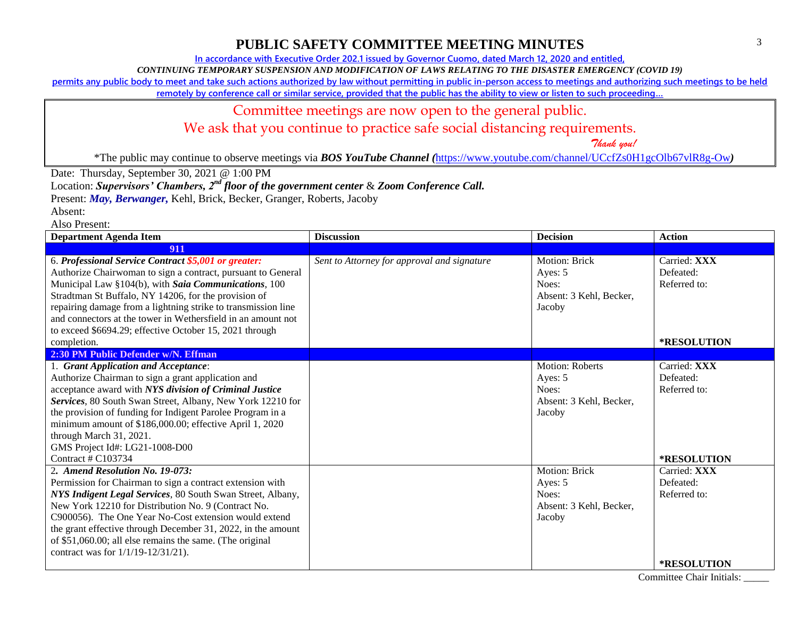**In accordance with Executive Order 202.1 issued by Governor Cuomo, dated March 12, 2020 and entitled,**

*CONTINUING TEMPORARY SUSPENSION AND MODIFICATION OF LAWS RELATING TO THE DISASTER EMERGENCY (COVID 19)*

**permits any public body to meet and take such actions authorized by law without permitting in public in-person access to meetings and authorizing such meetings to be held** 

**remotely by conference call or similar service, provided that the public has the ability to view or listen to such proceeding…**

#### Committee meetings are now open to the general public.

We ask that you continue to practice safe social distancing requirements.

 *Thank you!*

\*The public may continue to observe meetings via *BOS YouTube Channel (*<https://www.youtube.com/channel/UCcfZs0H1gcOlb67vlR8g-Ow>*)*

Date: Thursday, September 30, 2021 @ 1:00 PM

Location: *Supervisors' Chambers, 2nd floor of the government center* & *Zoom Conference Call.*

Present: *May, Berwanger,* Kehl, Brick, Becker, Granger, Roberts, Jacoby

Absent:

Also Present:

| <b>Department Agenda Item</b>                                                                                                                                                                                                                                                                                                                                                                                                                    | <b>Discussion</b>                           | <b>Decision</b>                                                               | <b>Action</b>                                                   |
|--------------------------------------------------------------------------------------------------------------------------------------------------------------------------------------------------------------------------------------------------------------------------------------------------------------------------------------------------------------------------------------------------------------------------------------------------|---------------------------------------------|-------------------------------------------------------------------------------|-----------------------------------------------------------------|
| 911                                                                                                                                                                                                                                                                                                                                                                                                                                              |                                             |                                                                               |                                                                 |
| 6. Professional Service Contract \$5,001 or greater:<br>Authorize Chairwoman to sign a contract, pursuant to General<br>Municipal Law §104(b), with Saia Communications, 100<br>Stradtman St Buffalo, NY 14206, for the provision of<br>repairing damage from a lightning strike to transmission line<br>and connectors at the tower in Wethersfield in an amount not<br>to exceed \$6694.29; effective October 15, 2021 through<br>completion.  | Sent to Attorney for approval and signature | <b>Motion: Brick</b><br>Ayes: 5<br>Noes:<br>Absent: 3 Kehl, Becker,<br>Jacoby | Carried: XXX<br>Defeated:<br>Referred to:<br><b>*RESOLUTION</b> |
| 2:30 PM Public Defender w/N. Effman                                                                                                                                                                                                                                                                                                                                                                                                              |                                             |                                                                               |                                                                 |
| 1. Grant Application and Acceptance:<br>Authorize Chairman to sign a grant application and<br>acceptance award with NYS division of Criminal Justice<br>Services, 80 South Swan Street, Albany, New York 12210 for<br>the provision of funding for Indigent Parolee Program in a<br>minimum amount of \$186,000.00; effective April 1, 2020<br>through March 31, 2021.<br>GMS Project Id#: LG21-1008-D00<br>Contract # C103734                   |                                             | Motion: Roberts<br>Ayes: 5<br>Noes:<br>Absent: 3 Kehl, Becker,<br>Jacoby      | Carried: XXX<br>Defeated:<br>Referred to:<br>*RESOLUTION        |
| 2. Amend Resolution No. 19-073:<br>Permission for Chairman to sign a contract extension with<br>NYS Indigent Legal Services, 80 South Swan Street, Albany,<br>New York 12210 for Distribution No. 9 (Contract No.<br>C900056). The One Year No-Cost extension would extend<br>the grant effective through December 31, 2022, in the amount<br>of \$51,060.00; all else remains the same. (The original<br>contract was for $1/1/19 - 12/31/21$ . |                                             | Motion: Brick<br>Ayes: 5<br>Noes:<br>Absent: 3 Kehl, Becker,<br>Jacoby        | Carried: XXX<br>Defeated:<br>Referred to:<br><b>*RESOLUTION</b> |

Committee Chair Initials: \_\_\_\_\_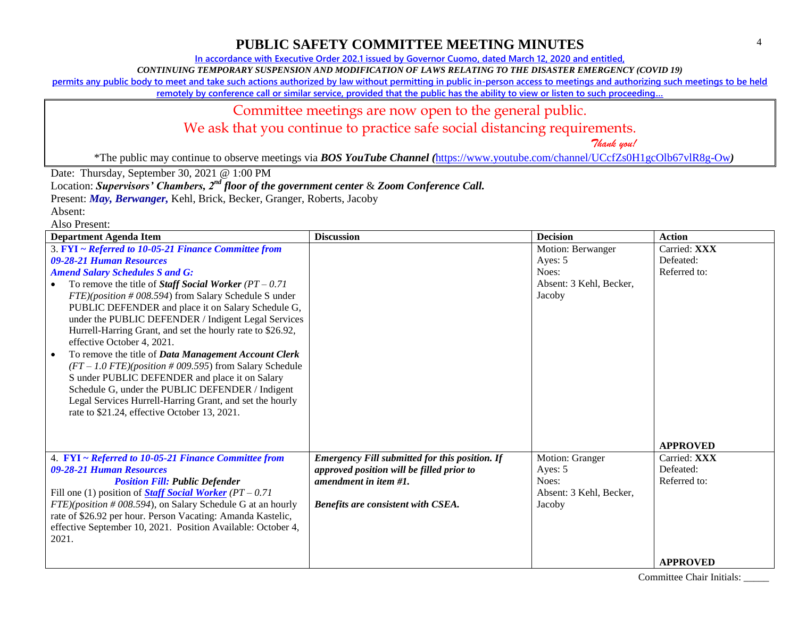**In accordance with Executive Order 202.1 issued by Governor Cuomo, dated March 12, 2020 and entitled,**

*CONTINUING TEMPORARY SUSPENSION AND MODIFICATION OF LAWS RELATING TO THE DISASTER EMERGENCY (COVID 19)*

**permits any public body to meet and take such actions authorized by law without permitting in public in-person access to meetings and authorizing such meetings to be held** 

**remotely by conference call or similar service, provided that the public has the ability to view or listen to such proceeding…**

#### Committee meetings are now open to the general public.

We ask that you continue to practice safe social distancing requirements.

 *Thank you!*

\*The public may continue to observe meetings via *BOS YouTube Channel (*<https://www.youtube.com/channel/UCcfZs0H1gcOlb67vlR8g-Ow>*)*

Date: Thursday, September 30, 2021 @ 1:00 PM

Location: *Supervisors' Chambers, 2nd floor of the government center* & *Zoom Conference Call.*

Present: *May, Berwanger,* Kehl, Brick, Becker, Granger, Roberts, Jacoby

Absent: Also Present:

| <b>Department Agenda Item</b>                                                                                                                                                                                                                                                                                                                                                                                                                                                                                                                                                                                                                                                                                                                                                                          | <b>Discussion</b>                                                                                                                                                 | <b>Decision</b>                                                            | <b>Action</b>                                                                   |
|--------------------------------------------------------------------------------------------------------------------------------------------------------------------------------------------------------------------------------------------------------------------------------------------------------------------------------------------------------------------------------------------------------------------------------------------------------------------------------------------------------------------------------------------------------------------------------------------------------------------------------------------------------------------------------------------------------------------------------------------------------------------------------------------------------|-------------------------------------------------------------------------------------------------------------------------------------------------------------------|----------------------------------------------------------------------------|---------------------------------------------------------------------------------|
| 3. FYI ~ Referred to 10-05-21 Finance Committee from<br>09-28-21 Human Resources<br><b>Amend Salary Schedules S and G:</b><br>To remove the title of <i>Staff Social Worker</i> $(PT - 0.71)$<br>$FTE$ )(position # 008.594) from Salary Schedule S under<br>PUBLIC DEFENDER and place it on Salary Schedule G,<br>under the PUBLIC DEFENDER / Indigent Legal Services<br>Hurrell-Harring Grant, and set the hourly rate to \$26.92,<br>effective October 4, 2021.<br>To remove the title of Data Management Account Clerk<br>$(FT-1.0$ FTE)(position #009.595) from Salary Schedule<br>S under PUBLIC DEFENDER and place it on Salary<br>Schedule G, under the PUBLIC DEFENDER / Indigent<br>Legal Services Hurrell-Harring Grant, and set the hourly<br>rate to \$21.24, effective October 13, 2021. |                                                                                                                                                                   | Motion: Berwanger<br>Ayes: 5<br>Noes:<br>Absent: 3 Kehl, Becker,<br>Jacoby | Carried: XXX<br>Defeated:<br>Referred to:                                       |
| 4. FYI ~ Referred to 10-05-21 Finance Committee from<br>09-28-21 Human Resources<br><b>Position Fill: Public Defender</b><br>Fill one (1) position of <b>Staff Social Worker</b> ( $PT - 0.71$<br>$FTE$ )(position # 008.594), on Salary Schedule G at an hourly<br>rate of \$26.92 per hour. Person Vacating: Amanda Kastelic,<br>effective September 10, 2021. Position Available: October 4,<br>2021.                                                                                                                                                                                                                                                                                                                                                                                               | <b>Emergency Fill submitted for this position. If</b><br>approved position will be filled prior to<br>amendment in item #1.<br>Benefits are consistent with CSEA. | Motion: Granger<br>Ayes: 5<br>Noes:<br>Absent: 3 Kehl, Becker,<br>Jacoby   | <b>APPROVED</b><br>Carried: XXX<br>Defeated:<br>Referred to:<br><b>APPROVED</b> |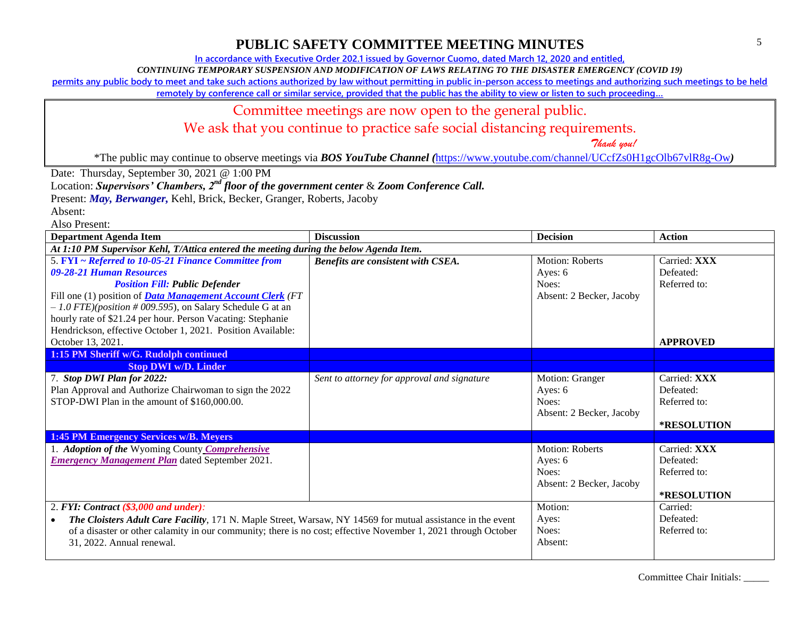**In accordance with Executive Order 202.1 issued by Governor Cuomo, dated March 12, 2020 and entitled,**

*CONTINUING TEMPORARY SUSPENSION AND MODIFICATION OF LAWS RELATING TO THE DISASTER EMERGENCY (COVID 19)*

**permits any public body to meet and take such actions authorized by law without permitting in public in-person access to meetings and authorizing such meetings to be held** 

**remotely by conference call or similar service, provided that the public has the ability to view or listen to such proceeding…**

#### Committee meetings are now open to the general public.

We ask that you continue to practice safe social distancing requirements.

 *Thank you!*

\*The public may continue to observe meetings via *BOS YouTube Channel (*<https://www.youtube.com/channel/UCcfZs0H1gcOlb67vlR8g-Ow>*)*

Date: Thursday, September 30, 2021 @ 1:00 PM

Location: *Supervisors' Chambers, 2nd floor of the government center* & *Zoom Conference Call.*

Present: *May, Berwanger,* Kehl, Brick, Becker, Granger, Roberts, Jacoby

Absent:

| <b>Department Agenda Item</b>                                                                                            | <b>Discussion</b>                           | <b>Decision</b>          | <b>Action</b>   |
|--------------------------------------------------------------------------------------------------------------------------|---------------------------------------------|--------------------------|-----------------|
| At 1:10 PM Supervisor Kehl, T/Attica entered the meeting during the below Agenda Item.                                   |                                             |                          |                 |
| 5. FYI ~ Referred to 10-05-21 Finance Committee from                                                                     | Benefits are consistent with CSEA.          | <b>Motion: Roberts</b>   | Carried: XXX    |
| 09-28-21 Human Resources                                                                                                 |                                             | Ayes: 6                  | Defeated:       |
| <b>Position Fill: Public Defender</b>                                                                                    |                                             | Noes:                    | Referred to:    |
| Fill one (1) position of <b>Data Management Account Clerk</b> (FT                                                        |                                             | Absent: 2 Becker, Jacoby |                 |
| $-1.0$ FTE)(position #009.595), on Salary Schedule G at an                                                               |                                             |                          |                 |
| hourly rate of \$21.24 per hour. Person Vacating: Stephanie                                                              |                                             |                          |                 |
| Hendrickson, effective October 1, 2021. Position Available:                                                              |                                             |                          |                 |
| October 13, 2021.                                                                                                        |                                             |                          | <b>APPROVED</b> |
| 1:15 PM Sheriff w/G. Rudolph continued                                                                                   |                                             |                          |                 |
| <b>Stop DWI w/D. Linder</b>                                                                                              |                                             |                          |                 |
| 7. Stop DWI Plan for 2022:                                                                                               | Sent to attorney for approval and signature | Motion: Granger          | Carried: XXX    |
| Plan Approval and Authorize Chairwoman to sign the 2022                                                                  |                                             | Ayes: $6$                | Defeated:       |
| STOP-DWI Plan in the amount of \$160,000.00.                                                                             |                                             | Noes:                    | Referred to:    |
|                                                                                                                          |                                             | Absent: 2 Becker, Jacoby |                 |
|                                                                                                                          |                                             |                          | *RESOLUTION     |
| <b>1:45 PM Emergency Services w/B. Meyers</b>                                                                            |                                             |                          |                 |
| 1. Adoption of the Wyoming County Comprehensive                                                                          |                                             | Motion: Roberts          | Carried: XXX    |
| <b>Emergency Management Plan</b> dated September 2021.                                                                   |                                             | Ayes: 6                  | Defeated:       |
|                                                                                                                          |                                             | Noes:                    | Referred to:    |
|                                                                                                                          |                                             | Absent: 2 Becker, Jacoby |                 |
|                                                                                                                          |                                             |                          | *RESOLUTION     |
| 2. FYI: Contract $(\$3,000$ and under):                                                                                  |                                             | Motion:                  | Carried:        |
| The Cloisters Adult Care Facility, 171 N. Maple Street, Warsaw, NY 14569 for mutual assistance in the event<br>$\bullet$ |                                             | Ayes:                    | Defeated:       |
| of a disaster or other calamity in our community; there is no cost; effective November 1, 2021 through October           |                                             | Noes:                    | Referred to:    |
| 31, 2022. Annual renewal.                                                                                                |                                             | Absent:                  |                 |
|                                                                                                                          |                                             |                          |                 |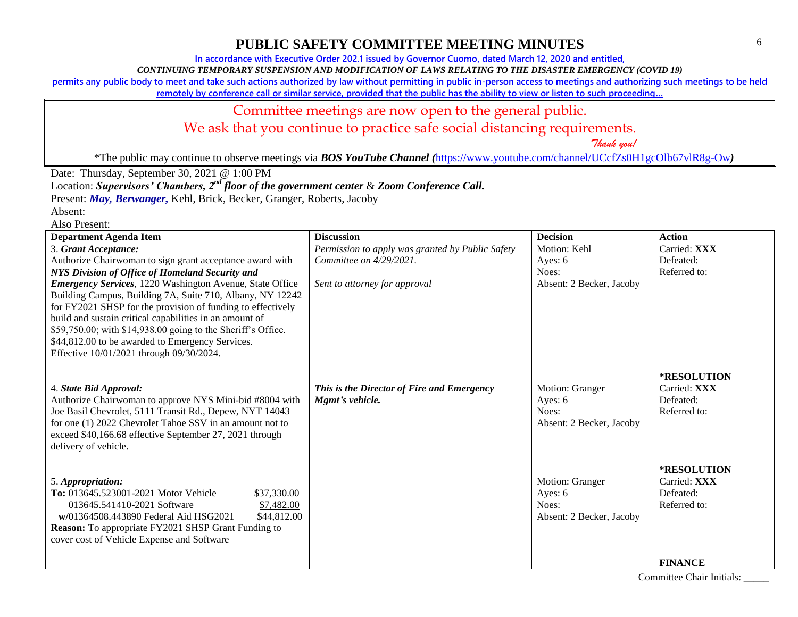**In accordance with Executive Order 202.1 issued by Governor Cuomo, dated March 12, 2020 and entitled,**

*CONTINUING TEMPORARY SUSPENSION AND MODIFICATION OF LAWS RELATING TO THE DISASTER EMERGENCY (COVID 19)*

**permits any public body to meet and take such actions authorized by law without permitting in public in-person access to meetings and authorizing such meetings to be held** 

**remotely by conference call or similar service, provided that the public has the ability to view or listen to such proceeding…**

## Committee meetings are now open to the general public.

We ask that you continue to practice safe social distancing requirements.

 *Thank you!*

\*The public may continue to observe meetings via *BOS YouTube Channel (*<https://www.youtube.com/channel/UCcfZs0H1gcOlb67vlR8g-Ow>*)*

Date: Thursday, September 30, 2021 @ 1:00 PM

Location: *Supervisors' Chambers, 2nd floor of the government center* & *Zoom Conference Call.*

Present: *May, Berwanger,* Kehl, Brick, Becker, Granger, Roberts, Jacoby

Absent: Also Present:

| AISU FIUSUII.<br><b>Department Agenda Item</b>                                                                                                                                                                                                                                                                                                                                                                                                                                                                                                                 | <b>Discussion</b>                                                                                               | <b>Decision</b>                                                 | <b>Action</b>                                                              |
|----------------------------------------------------------------------------------------------------------------------------------------------------------------------------------------------------------------------------------------------------------------------------------------------------------------------------------------------------------------------------------------------------------------------------------------------------------------------------------------------------------------------------------------------------------------|-----------------------------------------------------------------------------------------------------------------|-----------------------------------------------------------------|----------------------------------------------------------------------------|
| 3. Grant Acceptance:<br>Authorize Chairwoman to sign grant acceptance award with<br>NYS Division of Office of Homeland Security and<br><b>Emergency Services</b> , 1220 Washington Avenue, State Office<br>Building Campus, Building 7A, Suite 710, Albany, NY 12242<br>for FY2021 SHSP for the provision of funding to effectively<br>build and sustain critical capabilities in an amount of<br>\$59,750.00; with \$14,938.00 going to the Sheriff's Office.<br>\$44,812.00 to be awarded to Emergency Services.<br>Effective 10/01/2021 through 09/30/2024. | Permission to apply was granted by Public Safety<br>Committee on $4/29/2021$ .<br>Sent to attorney for approval | Motion: Kehl<br>Ayes: $6$<br>Noes:<br>Absent: 2 Becker, Jacoby  | Carried: XXX<br>Defeated:<br>Referred to:                                  |
| 4. State Bid Approval:<br>Authorize Chairwoman to approve NYS Mini-bid #8004 with<br>Joe Basil Chevrolet, 5111 Transit Rd., Depew, NYT 14043<br>for one (1) 2022 Chevrolet Tahoe SSV in an amount not to<br>exceed \$40,166.68 effective September 27, 2021 through<br>delivery of vehicle.                                                                                                                                                                                                                                                                    | This is the Director of Fire and Emergency<br>Mgmt's vehicle.                                                   | Motion: Granger<br>Ayes: 6<br>Noes:<br>Absent: 2 Becker, Jacoby | <b>*RESOLUTION</b><br>Carried: XXX<br>Defeated:<br>Referred to:            |
| 5. Appropriation:<br>To: 013645.523001-2021 Motor Vehicle<br>\$37,330.00<br>013645.541410-2021 Software<br>\$7,482.00<br>\$44,812.00<br>w/01364508.443890 Federal Aid HSG2021<br><b>Reason:</b> To appropriate FY2021 SHSP Grant Funding to<br>cover cost of Vehicle Expense and Software                                                                                                                                                                                                                                                                      |                                                                                                                 | Motion: Granger<br>Ayes: 6<br>Noes:<br>Absent: 2 Becker, Jacoby | *RESOLUTION<br>Carried: XXX<br>Defeated:<br>Referred to:<br><b>FINANCE</b> |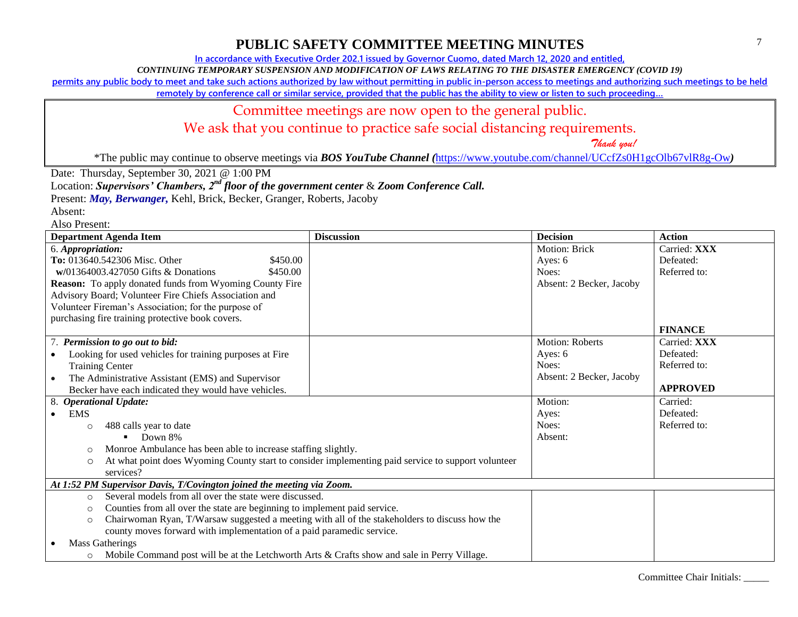**In accordance with Executive Order 202.1 issued by Governor Cuomo, dated March 12, 2020 and entitled,**

*CONTINUING TEMPORARY SUSPENSION AND MODIFICATION OF LAWS RELATING TO THE DISASTER EMERGENCY (COVID 19)*

**permits any public body to meet and take such actions authorized by law without permitting in public in-person access to meetings and authorizing such meetings to be held** 

**remotely by conference call or similar service, provided that the public has the ability to view or listen to such proceeding…**

#### Committee meetings are now open to the general public.

We ask that you continue to practice safe social distancing requirements.

 *Thank you!*

\*The public may continue to observe meetings via *BOS YouTube Channel (*<https://www.youtube.com/channel/UCcfZs0H1gcOlb67vlR8g-Ow>*)*

Date: Thursday, September 30, 2021 @ 1:00 PM

Location: *Supervisors' Chambers, 2nd floor of the government center* & *Zoom Conference Call.*

Present: *May, Berwanger,* Kehl, Brick, Becker, Granger, Roberts, Jacoby

Absent:

| <b>Department Agenda Item</b>                                                                            | <b>Discussion</b>                                                                                  | <b>Decision</b>          | <b>Action</b>   |
|----------------------------------------------------------------------------------------------------------|----------------------------------------------------------------------------------------------------|--------------------------|-----------------|
| 6. Appropriation:                                                                                        |                                                                                                    | <b>Motion: Brick</b>     | Carried: XXX    |
| To: 013640.542306 Misc. Other<br>\$450.00                                                                |                                                                                                    | Ayes: $6$                | Defeated:       |
| $w/01364003.427050$ Gifts & Donations<br>\$450.00                                                        |                                                                                                    | Noes:                    | Referred to:    |
| Reason: To apply donated funds from Wyoming County Fire                                                  |                                                                                                    | Absent: 2 Becker, Jacoby |                 |
| Advisory Board; Volunteer Fire Chiefs Association and                                                    |                                                                                                    |                          |                 |
| Volunteer Fireman's Association; for the purpose of                                                      |                                                                                                    |                          |                 |
| purchasing fire training protective book covers.                                                         |                                                                                                    |                          |                 |
|                                                                                                          |                                                                                                    |                          | <b>FINANCE</b>  |
| 7. Permission to go out to bid:                                                                          |                                                                                                    | <b>Motion: Roberts</b>   | Carried: XXX    |
| Looking for used vehicles for training purposes at Fire                                                  |                                                                                                    | Ayes: 6                  | Defeated:       |
| <b>Training Center</b>                                                                                   |                                                                                                    | Noes:                    | Referred to:    |
| The Administrative Assistant (EMS) and Supervisor<br>$\bullet$                                           |                                                                                                    | Absent: 2 Becker, Jacoby |                 |
| Becker have each indicated they would have vehicles.                                                     |                                                                                                    |                          | <b>APPROVED</b> |
| 8. Operational Update:                                                                                   |                                                                                                    | Motion:                  | Carried:        |
| <b>EMS</b><br>$\bullet$                                                                                  |                                                                                                    | Ayes:                    | Defeated:       |
| 488 calls year to date<br>$\circ$                                                                        |                                                                                                    | Noes:                    | Referred to:    |
| Down 8%                                                                                                  |                                                                                                    | Absent:                  |                 |
| Monroe Ambulance has been able to increase staffing slightly.<br>$\circ$                                 |                                                                                                    |                          |                 |
| $\circ$                                                                                                  | At what point does Wyoming County start to consider implementing paid service to support volunteer |                          |                 |
| services?                                                                                                |                                                                                                    |                          |                 |
| At 1:52 PM Supervisor Davis, T/Covington joined the meeting via Zoom.                                    |                                                                                                    |                          |                 |
| Several models from all over the state were discussed.<br>$\circ$                                        |                                                                                                    |                          |                 |
| Counties from all over the state are beginning to implement paid service.<br>$\circ$                     |                                                                                                    |                          |                 |
| Chairwoman Ryan, T/Warsaw suggested a meeting with all of the stakeholders to discuss how the<br>$\circ$ |                                                                                                    |                          |                 |
| county moves forward with implementation of a paid paramedic service.                                    |                                                                                                    |                          |                 |
| <b>Mass Gatherings</b>                                                                                   |                                                                                                    |                          |                 |
| Mobile Command post will be at the Letchworth Arts & Crafts show and sale in Perry Village.<br>$\circ$   |                                                                                                    |                          |                 |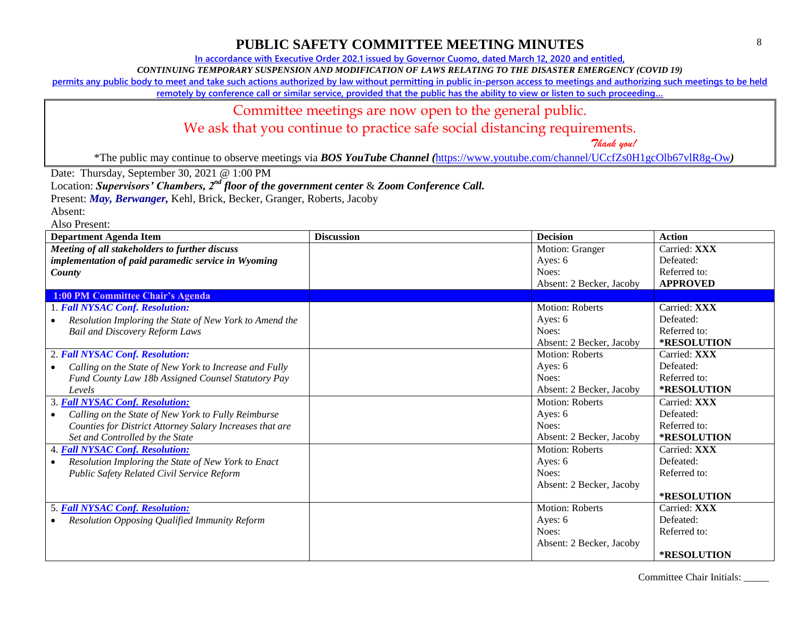**In accordance with Executive Order 202.1 issued by Governor Cuomo, dated March 12, 2020 and entitled,**

*CONTINUING TEMPORARY SUSPENSION AND MODIFICATION OF LAWS RELATING TO THE DISASTER EMERGENCY (COVID 19)*

**permits any public body to meet and take such actions authorized by law without permitting in public in-person access to meetings and authorizing such meetings to be held** 

**remotely by conference call or similar service, provided that the public has the ability to view or listen to such proceeding…**

#### Committee meetings are now open to the general public.

We ask that you continue to practice safe social distancing requirements.

 *Thank you!*

\*The public may continue to observe meetings via *BOS YouTube Channel (*<https://www.youtube.com/channel/UCcfZs0H1gcOlb67vlR8g-Ow>*)*

Date: Thursday, September 30, 2021 @ 1:00 PM

Location: *Supervisors' Chambers, 2nd floor of the government center* & *Zoom Conference Call.*

Present: *May, Berwanger,* Kehl, Brick, Becker, Granger, Roberts, Jacoby

Absent:

| <b>Department Agenda Item</b>                            | <b>Discussion</b> | <b>Decision</b>          | <b>Action</b>      |
|----------------------------------------------------------|-------------------|--------------------------|--------------------|
| Meeting of all stakeholders to further discuss           |                   | Motion: Granger          | Carried: XXX       |
| implementation of paid paramedic service in Wyoming      |                   | Ayes: 6                  | Defeated:          |
| County                                                   |                   | Noes:                    | Referred to:       |
|                                                          |                   | Absent: 2 Becker, Jacoby | <b>APPROVED</b>    |
| <b>1:00 PM Committee Chair's Agenda</b>                  |                   |                          |                    |
| 1. Fall NYSAC Conf. Resolution:                          |                   | <b>Motion: Roberts</b>   | Carried: XXX       |
| Resolution Imploring the State of New York to Amend the  |                   | Ayes: 6                  | Defeated:          |
| <b>Bail and Discovery Reform Laws</b>                    |                   | Noes:                    | Referred to:       |
|                                                          |                   | Absent: 2 Becker, Jacoby | *RESOLUTION        |
| 2. Fall NYSAC Conf. Resolution:                          |                   | <b>Motion: Roberts</b>   | Carried: XXX       |
| Calling on the State of New York to Increase and Fully   |                   | Ayes: 6                  | Defeated:          |
| Fund County Law 18b Assigned Counsel Statutory Pay       |                   | Noes:                    | Referred to:       |
| Levels                                                   |                   | Absent: 2 Becker, Jacoby | *RESOLUTION        |
| 3. Fall NYSAC Conf. Resolution:                          |                   | <b>Motion: Roberts</b>   | Carried: XXX       |
| Calling on the State of New York to Fully Reimburse      |                   | Ayes: 6                  | Defeated:          |
| Counties for District Attorney Salary Increases that are |                   | Noes:                    | Referred to:       |
| Set and Controlled by the State                          |                   | Absent: 2 Becker, Jacoby | <b>*RESOLUTION</b> |
| 4. Fall NYSAC Conf. Resolution:                          |                   | <b>Motion: Roberts</b>   | Carried: XXX       |
| Resolution Imploring the State of New York to Enact      |                   | Ayes: 6                  | Defeated:          |
| Public Safety Related Civil Service Reform               |                   | Noes:                    | Referred to:       |
|                                                          |                   | Absent: 2 Becker, Jacoby |                    |
|                                                          |                   |                          | <b>*RESOLUTION</b> |
| <b>5. Fall NYSAC Conf. Resolution:</b>                   |                   | <b>Motion: Roberts</b>   | Carried: XXX       |
| Resolution Opposing Qualified Immunity Reform            |                   | Ayes: 6                  | Defeated:          |
|                                                          |                   | Noes:                    | Referred to:       |
|                                                          |                   | Absent: 2 Becker, Jacoby |                    |
|                                                          |                   |                          | *RESOLUTION        |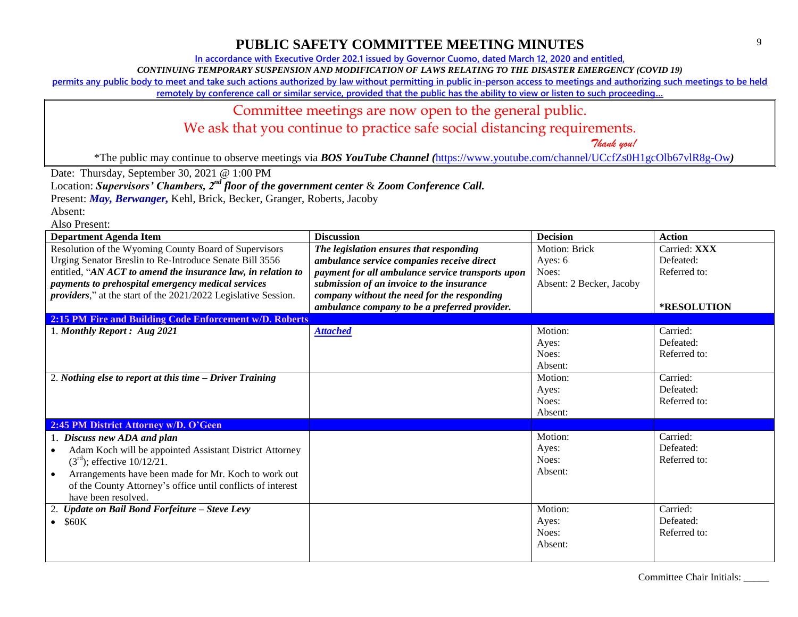**In accordance with Executive Order 202.1 issued by Governor Cuomo, dated March 12, 2020 and entitled,**

*CONTINUING TEMPORARY SUSPENSION AND MODIFICATION OF LAWS RELATING TO THE DISASTER EMERGENCY (COVID 19)*

**permits any public body to meet and take such actions authorized by law without permitting in public in-person access to meetings and authorizing such meetings to be held** 

**remotely by conference call or similar service, provided that the public has the ability to view or listen to such proceeding…**

#### Committee meetings are now open to the general public.

We ask that you continue to practice safe social distancing requirements.

 *Thank you!*

\*The public may continue to observe meetings via *BOS YouTube Channel (*<https://www.youtube.com/channel/UCcfZs0H1gcOlb67vlR8g-Ow>*)*

Date: Thursday, September 30, 2021 @ 1:00 PM

Location: *Supervisors' Chambers, 2nd floor of the government center* & *Zoom Conference Call.*

Present: *May, Berwanger,* Kehl, Brick, Becker, Granger, Roberts, Jacoby

Absent:

| <b>Department Agenda Item</b>                                          | <b>Discussion</b>                                 | <b>Decision</b>          | <b>Action</b> |
|------------------------------------------------------------------------|---------------------------------------------------|--------------------------|---------------|
| Resolution of the Wyoming County Board of Supervisors                  | The legislation ensures that responding           | <b>Motion: Brick</b>     | Carried: XXX  |
| Urging Senator Breslin to Re-Introduce Senate Bill 3556                | ambulance service companies receive direct        | Ayes: 6                  | Defeated:     |
| entitled, "AN ACT to amend the insurance law, in relation to           | payment for all ambulance service transports upon | Noes:                    | Referred to:  |
| payments to prehospital emergency medical services                     | submission of an invoice to the insurance         | Absent: 2 Becker, Jacoby |               |
| <i>providers,</i> " at the start of the 2021/2022 Legislative Session. | company without the need for the responding       |                          |               |
|                                                                        | ambulance company to be a preferred provider.     |                          | *RESOLUTION   |
| 2:15 PM Fire and Building Code Enforcement w/D. Roberts                |                                                   |                          |               |
| 1. Monthly Report: Aug 2021                                            | <b>Attached</b>                                   | Motion:                  | Carried:      |
|                                                                        |                                                   | Ayes:                    | Defeated:     |
|                                                                        |                                                   | Noes:                    | Referred to:  |
|                                                                        |                                                   | Absent:                  |               |
| 2. Nothing else to report at this time - Driver Training               |                                                   | Motion:                  | Carried:      |
|                                                                        |                                                   | Ayes:                    | Defeated:     |
|                                                                        |                                                   | Noes:                    | Referred to:  |
|                                                                        |                                                   | Absent:                  |               |
| 2:45 PM District Attorney w/D. O'Geen                                  |                                                   |                          |               |
| 1. Discuss new ADA and plan                                            |                                                   | Motion:                  | Carried:      |
| Adam Koch will be appointed Assistant District Attorney                |                                                   | Ayes:                    | Defeated:     |
| $(3rd)$ ; effective $10/12/21$ .                                       |                                                   | Noes:                    | Referred to:  |
| Arrangements have been made for Mr. Koch to work out                   |                                                   | Absent:                  |               |
| of the County Attorney's office until conflicts of interest            |                                                   |                          |               |
| have been resolved.                                                    |                                                   |                          |               |
| Update on Bail Bond Forfeiture - Steve Levy                            |                                                   | Motion:                  | Carried:      |
| \$60K                                                                  |                                                   | Ayes:                    | Defeated:     |
|                                                                        |                                                   | Noes:                    | Referred to:  |
|                                                                        |                                                   | Absent:                  |               |
|                                                                        |                                                   |                          |               |